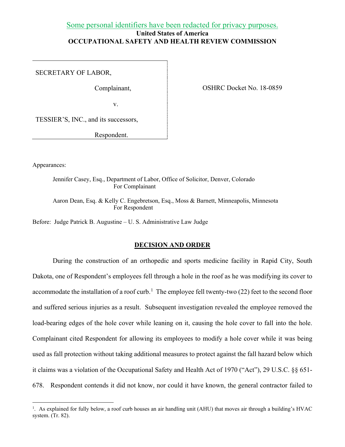# Some personal identifiers have been redacted for privacy purposes. **United States of America OCCUPATIONAL SAFETY AND HEALTH REVIEW COMMISSION**

SECRETARY OF LABOR,

Complainant,

v.

OSHRC Docket No. 18-0859

TESSIER'S, INC., and its successors,

Respondent.

Appearances:

Jennifer Casey, Esq., Department of Labor, Office of Solicitor, Denver, Colorado For Complainant

Aaron Dean, Esq. & Kelly C. Engebretson, Esq., Moss & Barnett, Minneapolis, Minnesota For Respondent

Before: Judge Patrick B. Augustine – U. S. Administrative Law Judge

#### **DECISION AND ORDER**

During the construction of an orthopedic and sports medicine facility in Rapid City, South Dakota, one of Respondent's employees fell through a hole in the roof as he was modifying its cover to accommodate the installation of a roof curb.<sup>[1](#page-0-0)</sup> The employee fell twenty-two (22) feet to the second floor and suffered serious injuries as a result. Subsequent investigation revealed the employee removed the load-bearing edges of the hole cover while leaning on it, causing the hole cover to fall into the hole. Complainant cited Respondent for allowing its employees to modify a hole cover while it was being used as fall protection without taking additional measures to protect against the fall hazard below which it claims was a violation of the Occupational Safety and Health Act of 1970 ("Act"), 29 U.S.C. §§ 651- 678. Respondent contends it did not know, nor could it have known, the general contractor failed to

<span id="page-0-0"></span><sup>&</sup>lt;sup>1</sup>. As explained for fully below, a roof curb houses an air handling unit (AHU) that moves air through a building's HVAC system. (Tr. 82).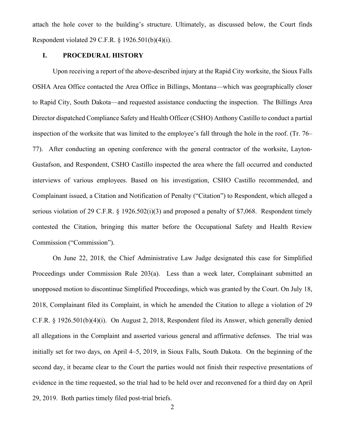attach the hole cover to the building's structure. Ultimately, as discussed below, the Court finds Respondent violated 29 C.F.R. § 1926.501(b)(4)(i).

# **I. PROCEDURAL HISTORY**

Upon receiving a report of the above-described injury at the Rapid City worksite, the Sioux Falls OSHA Area Office contacted the Area Office in Billings, Montana—which was geographically closer to Rapid City, South Dakota—and requested assistance conducting the inspection. The Billings Area Director dispatched Compliance Safety and Health Officer (CSHO) Anthony Castillo to conduct a partial inspection of the worksite that was limited to the employee's fall through the hole in the roof. (Tr. 76– 77). After conducting an opening conference with the general contractor of the worksite, Layton-Gustafson, and Respondent, CSHO Castillo inspected the area where the fall occurred and conducted interviews of various employees. Based on his investigation, CSHO Castillo recommended, and Complainant issued, a Citation and Notification of Penalty ("Citation") to Respondent, which alleged a serious violation of 29 C.F.R. § 1926.502(i)(3) and proposed a penalty of \$7,068. Respondent timely contested the Citation, bringing this matter before the Occupational Safety and Health Review Commission ("Commission").

On June 22, 2018, the Chief Administrative Law Judge designated this case for Simplified Proceedings under Commission Rule 203(a). Less than a week later, Complainant submitted an unopposed motion to discontinue Simplified Proceedings, which was granted by the Court. On July 18, 2018, Complainant filed its Complaint, in which he amended the Citation to allege a violation of 29 C.F.R. § 1926.501(b)(4)(i). On August 2, 2018, Respondent filed its Answer, which generally denied all allegations in the Complaint and asserted various general and affirmative defenses. The trial was initially set for two days, on April 4–5, 2019, in Sioux Falls, South Dakota. On the beginning of the second day, it became clear to the Court the parties would not finish their respective presentations of evidence in the time requested, so the trial had to be held over and reconvened for a third day on April 29, 2019. Both parties timely filed post-trial briefs.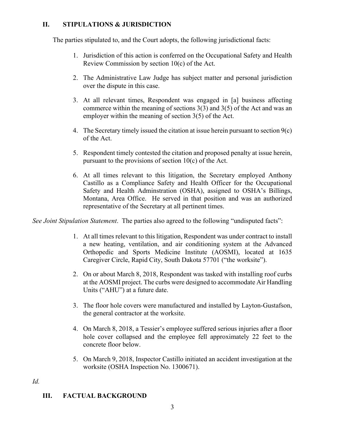# **II. STIPULATIONS & JURISDICTION**

The parties stipulated to, and the Court adopts, the following jurisdictional facts:

- 1. Jurisdiction of this action is conferred on the Occupational Safety and Health Review Commission by section 10(c) of the Act.
- 2. The Administrative Law Judge has subject matter and personal jurisdiction over the dispute in this case.
- 3. At all relevant times, Respondent was engaged in [a] business affecting commerce within the meaning of sections 3(3) and 3(5) of the Act and was an employer within the meaning of section 3(5) of the Act.
- 4. The Secretary timely issued the citation at issue herein pursuant to section 9(c) of the Act.
- 5. Respondent timely contested the citation and proposed penalty at issue herein, pursuant to the provisions of section  $10(c)$  of the Act.
- 6. At all times relevant to this litigation, the Secretary employed Anthony Castillo as a Compliance Safety and Health Officer for the Occupational Safety and Health Adminstration (OSHA), assigned to OSHA's Billings, Montana, Area Office. He served in that position and was an authorized representative of the Secretary at all pertinent times.

*See Joint Stipulation Statement*. The parties also agreed to the following "undisputed facts":

- 1. At all times relevant to this litigation, Respondent was under contract to install a new heating, ventilation, and air conditioning system at the Advanced Orthopedic and Sports Medicine Institute (AOSMI), located at 1635 Caregiver Circle, Rapid City, South Dakota 57701 ("the worksite").
- 2. On or about March 8, 2018, Respondent was tasked with installing roof curbs at the AOSMI project. The curbs were designed to accommodate Air Handling Units ("AHU") at a future date.
- 3. The floor hole covers were manufactured and installed by Layton-Gustafson, the general contractor at the worksite.
- 4. On March 8, 2018, a Tessier's employee suffered serious injuries after a floor hole cover collapsed and the employee fell approximately 22 feet to the concrete floor below.
- 5. On March 9, 2018, Inspector Castillo initiated an accident investigation at the worksite (OSHA Inspection No. 1300671).

*Id.*

# **III. FACTUAL BACKGROUND**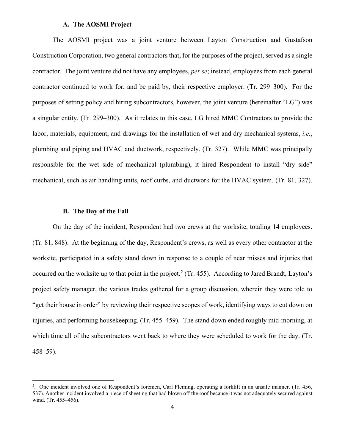#### **A. The AOSMI Project**

The AOSMI project was a joint venture between Layton Construction and Gustafson Construction Corporation, two general contractors that, for the purposes of the project, served as a single contractor. The joint venture did not have any employees, *per se*; instead, employees from each general contractor continued to work for, and be paid by, their respective employer. (Tr. 299–300). For the purposes of setting policy and hiring subcontractors, however, the joint venture (hereinafter "LG") was a singular entity. (Tr. 299–300). As it relates to this case, LG hired MMC Contractors to provide the labor, materials, equipment, and drawings for the installation of wet and dry mechanical systems, *i.e.*, plumbing and piping and HVAC and ductwork, respectively. (Tr. 327). While MMC was principally responsible for the wet side of mechanical (plumbing), it hired Respondent to install "dry side" mechanical, such as air handling units, roof curbs, and ductwork for the HVAC system. (Tr. 81, 327).

#### **B. The Day of the Fall**

On the day of the incident, Respondent had two crews at the worksite, totaling 14 employees. (Tr. 81, 848). At the beginning of the day, Respondent's crews, as well as every other contractor at the worksite, participated in a safety stand down in response to a couple of near misses and injuries that occurred on the worksite up to that point in the project.<sup>[2](#page-3-0)</sup> (Tr. 455). According to Jared Brandt, Layton's project safety manager, the various trades gathered for a group discussion, wherein they were told to "get their house in order" by reviewing their respective scopes of work, identifying ways to cut down on injuries, and performing housekeeping. (Tr. 455–459). The stand down ended roughly mid-morning, at which time all of the subcontractors went back to where they were scheduled to work for the day. (Tr. 458–59).

<span id="page-3-0"></span><sup>2</sup> . One incident involved one of Respondent's foremen, Carl Fleming, operating a forklift in an unsafe manner. (Tr. 456, 537). Another incident involved a piece of sheeting that had blown off the roof because it was not adequately secured against wind. (Tr. 455–456).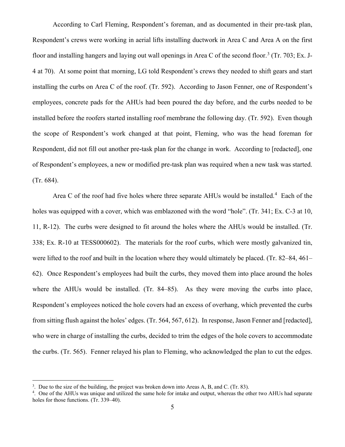According to Carl Fleming, Respondent's foreman, and as documented in their pre-task plan, Respondent's crews were working in aerial lifts installing ductwork in Area C and Area A on the first floor and installing hangers and laying out wall openings in Area C of the second floor.<sup>[3](#page-4-0)</sup> (Tr. 703; Ex. J-4 at 70). At some point that morning, LG told Respondent's crews they needed to shift gears and start installing the curbs on Area C of the roof. (Tr. 592). According to Jason Fenner, one of Respondent's employees, concrete pads for the AHUs had been poured the day before, and the curbs needed to be installed before the roofers started installing roof membrane the following day. (Tr. 592). Even though the scope of Respondent's work changed at that point, Fleming, who was the head foreman for Respondent, did not fill out another pre-task plan for the change in work. According to [redacted], one of Respondent's employees, a new or modified pre-task plan was required when a new task was started. (Tr. 684).

Area C of the roof had five holes where three separate AHUs would be installed.<sup>[4](#page-4-1)</sup> Each of the holes was equipped with a cover, which was emblazoned with the word "hole". (Tr. 341; Ex. C-3 at 10, 11, R-12). The curbs were designed to fit around the holes where the AHUs would be installed. (Tr. 338; Ex. R-10 at TESS000602). The materials for the roof curbs, which were mostly galvanized tin, were lifted to the roof and built in the location where they would ultimately be placed. (Tr. 82–84, 461– 62). Once Respondent's employees had built the curbs, they moved them into place around the holes where the AHUs would be installed. (Tr. 84–85). As they were moving the curbs into place, Respondent's employees noticed the hole covers had an excess of overhang, which prevented the curbs from sitting flush against the holes' edges. (Tr. 564, 567, 612). In response, Jason Fenner and [redacted], who were in charge of installing the curbs, decided to trim the edges of the hole covers to accommodate the curbs. (Tr. 565). Fenner relayed his plan to Fleming, who acknowledged the plan to cut the edges.

<span id="page-4-0"></span><sup>&</sup>lt;sup>3</sup>. Due to the size of the building, the project was broken down into Areas A, B, and C. (Tr. 83).  $\frac{4}{1}$  One of the AHUs was unique and utilized the same hole for intake and output, whereas the ot

<span id="page-4-1"></span><sup>&</sup>lt;sup>4</sup>. One of the AHUs was unique and utilized the same hole for intake and output, whereas the other two AHUs had separate holes for those functions. (Tr. 339–40).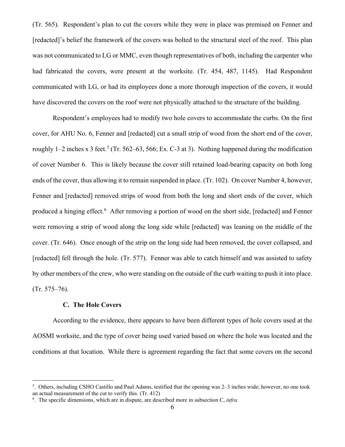(Tr. 565). Respondent's plan to cut the covers while they were in place was premised on Fenner and [redacted]'s belief the framework of the covers was bolted to the structural steel of the roof. This plan was not communicated to LG or MMC, even though representatives of both, including the carpenter who had fabricated the covers, were present at the worksite. (Tr. 454, 487, 1145). Had Respondent communicated with LG, or had its employees done a more thorough inspection of the covers, it would have discovered the covers on the roof were not physically attached to the structure of the building.

Respondent's employees had to modify two hole covers to accommodate the curbs. On the first cover, for AHU No. 6, Fenner and [redacted] cut a small strip of wood from the short end of the cover, roughly 1–2 inches x 3 feet.<sup>[5](#page-5-0)</sup> (Tr. 562–63, 566; Ex. C-3 at 3). Nothing happened during the modification of cover Number 6. This is likely because the cover still retained load-bearing capacity on both long ends of the cover, thus allowing it to remain suspended in place. (Tr. 102). On cover Number 4, however, Fenner and [redacted] removed strips of wood from both the long and short ends of the cover, which produced a hinging effect.<sup>[6](#page-5-1)</sup> After removing a portion of wood on the short side, [redacted] and Fenner were removing a strip of wood along the long side while [redacted] was leaning on the middle of the cover. (Tr. 646). Once enough of the strip on the long side had been removed, the cover collapsed, and [redacted] fell through the hole. (Tr. 577). Fenner was able to catch himself and was assisted to safety by other members of the crew, who were standing on the outside of the curb waiting to push it into place. (Tr. 575–76).

# **C. The Hole Covers**

According to the evidence, there appears to have been different types of hole covers used at the AOSMI worksite, and the type of cover being used varied based on where the hole was located and the conditions at that location. While there is agreement regarding the fact that some covers on the second

<span id="page-5-0"></span><sup>5</sup> . Others, including CSHO Castillo and Paul Adams, testified that the opening was 2–3 inches wide; however, no one took an actual measurement of the cut to verify this.  $(Tr. 412)$ 

<span id="page-5-1"></span><sup>.</sup> The specific dimensions, which are in dispute, are described more in subsection C, *infra*.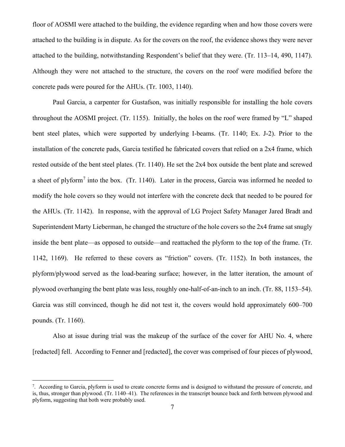floor of AOSMI were attached to the building, the evidence regarding when and how those covers were attached to the building is in dispute. As for the covers on the roof, the evidence shows they were never attached to the building, notwithstanding Respondent's belief that they were. (Tr. 113–14, 490, 1147). Although they were not attached to the structure, the covers on the roof were modified before the concrete pads were poured for the AHUs. (Tr. 1003, 1140).

Paul Garcia, a carpenter for Gustafson, was initially responsible for installing the hole covers throughout the AOSMI project. (Tr. 1155). Initially, the holes on the roof were framed by "L" shaped bent steel plates, which were supported by underlying I-beams. (Tr. 1140; Ex. J-2). Prior to the installation of the concrete pads, Garcia testified he fabricated covers that relied on a 2x4 frame, which rested outside of the bent steel plates. (Tr. 1140). He set the 2x4 box outside the bent plate and screwed a sheet of plyform<sup>[7](#page-6-0)</sup> into the box. (Tr. 1140). Later in the process, Garcia was informed he needed to modify the hole covers so they would not interfere with the concrete deck that needed to be poured for the AHUs. (Tr. 1142). In response, with the approval of LG Project Safety Manager Jared Bradt and Superintendent Marty Lieberman, he changed the structure of the hole covers so the 2x4 frame sat snugly inside the bent plate—as opposed to outside—and reattached the plyform to the top of the frame. (Tr. 1142, 1169). He referred to these covers as "friction" covers. (Tr. 1152). In both instances, the plyform/plywood served as the load-bearing surface; however, in the latter iteration, the amount of plywood overhanging the bent plate was less, roughly one-half-of-an-inch to an inch. (Tr. 88, 1153–54). Garcia was still convinced, though he did not test it, the covers would hold approximately 600–700 pounds. (Tr. 1160).

Also at issue during trial was the makeup of the surface of the cover for AHU No. 4, where [redacted] fell. According to Fenner and [redacted], the cover was comprised of four pieces of plywood,

<span id="page-6-0"></span><sup>&</sup>lt;sup>7</sup>. According to Garcia, plyform is used to create concrete forms and is designed to withstand the pressure of concrete, and is, thus, stronger than plywood. (Tr. 1140–41). The references in the transcript bounce back and forth between plywood and plyform, suggesting that both were probably used.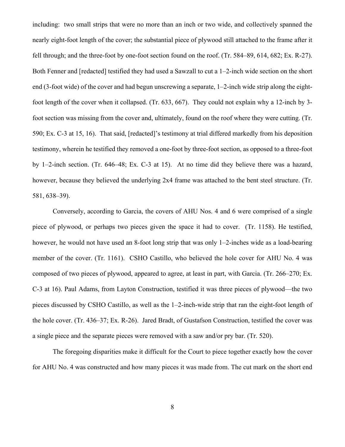including: two small strips that were no more than an inch or two wide, and collectively spanned the nearly eight-foot length of the cover; the substantial piece of plywood still attached to the frame after it fell through; and the three-foot by one-foot section found on the roof. (Tr. 584–89, 614, 682; Ex. R-27). Both Fenner and [redacted] testified they had used a Sawzall to cut a 1–2-inch wide section on the short end (3-foot wide) of the cover and had begun unscrewing a separate, 1–2-inch wide strip along the eightfoot length of the cover when it collapsed. (Tr. 633, 667). They could not explain why a 12-inch by 3 foot section was missing from the cover and, ultimately, found on the roof where they were cutting. (Tr. 590; Ex. C-3 at 15, 16). That said, [redacted]'s testimony at trial differed markedly from his deposition testimony, wherein he testified they removed a one-foot by three-foot section, as opposed to a three-foot by 1–2-inch section. (Tr. 646–48; Ex. C-3 at 15). At no time did they believe there was a hazard, however, because they believed the underlying 2x4 frame was attached to the bent steel structure. (Tr. 581, 638–39).

Conversely, according to Garcia, the covers of AHU Nos. 4 and 6 were comprised of a single piece of plywood, or perhaps two pieces given the space it had to cover. (Tr. 1158). He testified, however, he would not have used an 8-foot long strip that was only 1-2-inches wide as a load-bearing member of the cover. (Tr. 1161). CSHO Castillo, who believed the hole cover for AHU No. 4 was composed of two pieces of plywood, appeared to agree, at least in part, with Garcia. (Tr. 266–270; Ex. C-3 at 16). Paul Adams, from Layton Construction, testified it was three pieces of plywood—the two pieces discussed by CSHO Castillo, as well as the 1–2-inch-wide strip that ran the eight-foot length of the hole cover. (Tr. 436–37; Ex. R-26). Jared Bradt, of Gustafson Construction, testified the cover was a single piece and the separate pieces were removed with a saw and/or pry bar. (Tr. 520).

The foregoing disparities make it difficult for the Court to piece together exactly how the cover for AHU No. 4 was constructed and how many pieces it was made from. The cut mark on the short end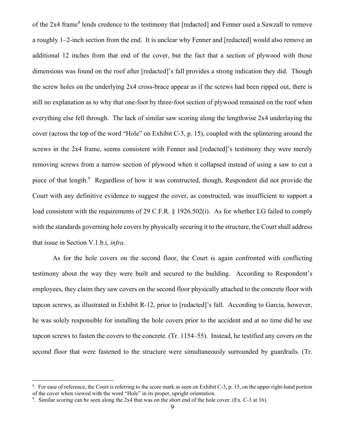of the 2x4 frame<sup>[8](#page-8-0)</sup> lends credence to the testimony that [redacted] and Fenner used a Sawzall to remove a roughly 1–2-inch section from the end. It is unclear why Fenner and [redacted] would also remove an additional 12 inches from that end of the cover, but the fact that a section of plywood with those dimensions was found on the roof after [redacted]'s fall provides a strong indication they did. Though the screw holes on the underlying 2x4 cross-brace appear as if the screws had been ripped out, there is still no explanation as to why that one-foot by three-foot section of plywood remained on the roof when everything else fell through. The lack of similar saw scoring along the lengthwise 2x4 underlaying the cover (across the top of the word "Hole" on Exhibit C-3, p. 15), coupled with the splintering around the screws in the 2x4 frame, seems consistent with Fenner and [redacted]'s testimony they were merely removing screws from a narrow section of plywood when it collapsed instead of using a saw to cut a piece of that length.<sup>[9](#page-8-1)</sup> Regardless of how it was constructed, though, Respondent did not provide the Court with any definitive evidence to suggest the cover, as constructed, was insufficient to support a load consistent with the requirements of 29 C.F.R. § 1926.502(i). As for whether LG failed to comply with the standards governing hole covers by physically securing it to the structure, the Court shall address that issue in Section V.1.b.i, *infra.*

As for the hole covers on the second floor, the Court is again confronted with conflicting testimony about the way they were built and secured to the building. According to Respondent's employees, they claim they saw covers on the second floor physically attached to the concrete floor with tapcon screws, as illustrated in Exhibit R-12, prior to [redacted]'s fall. According to Garcia, however, he was solely responsible for installing the hole covers prior to the accident and at no time did he use tapcon screws to fasten the covers to the concrete. (Tr. 1154–55). Instead, he testified any covers on the second floor that were fastened to the structure were simultaneously surrounded by guardrails. (Tr.

<span id="page-8-0"></span><sup>&</sup>lt;sup>8</sup>. For ease of reference, the Court is referring to the score mark as seen on Exhibit C-3, p. 15, on the upper right-hand portion of the cover when viewed with the word "Hole" in its proper, upright orientation. 9

<span id="page-8-1"></span><sup>&</sup>lt;sup>9</sup>. Similar scoring can be seen along the 2x4 that was on the short end of the hole cover. (Ex. C-3 at 16).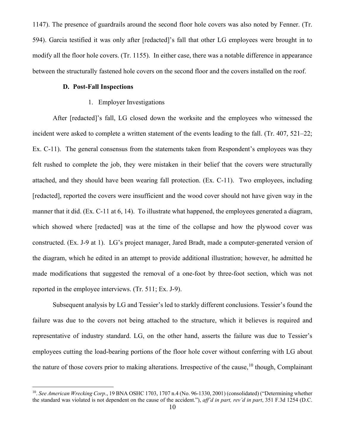1147). The presence of guardrails around the second floor hole covers was also noted by Fenner. (Tr. 594). Garcia testified it was only after [redacted]'s fall that other LG employees were brought in to modify all the floor hole covers. (Tr. 1155). In either case, there was a notable difference in appearance between the structurally fastened hole covers on the second floor and the covers installed on the roof.

#### **D. Post-Fall Inspections**

### 1. Employer Investigations

After [redacted]'s fall, LG closed down the worksite and the employees who witnessed the incident were asked to complete a written statement of the events leading to the fall. (Tr. 407, 521–22; Ex. C-11). The general consensus from the statements taken from Respondent's employees was they felt rushed to complete the job, they were mistaken in their belief that the covers were structurally attached, and they should have been wearing fall protection. (Ex. C-11). Two employees, including [redacted], reported the covers were insufficient and the wood cover should not have given way in the manner that it did. (Ex. C-11 at 6, 14). To illustrate what happened, the employees generated a diagram, which showed where [redacted] was at the time of the collapse and how the plywood cover was constructed. (Ex. J-9 at 1). LG's project manager, Jared Bradt, made a computer-generated version of the diagram, which he edited in an attempt to provide additional illustration; however, he admitted he made modifications that suggested the removal of a one-foot by three-foot section, which was not reported in the employee interviews. (Tr. 511; Ex. J-9).

Subsequent analysis by LG and Tessier's led to starkly different conclusions. Tessier's found the failure was due to the covers not being attached to the structure, which it believes is required and representative of industry standard. LG, on the other hand, asserts the failure was due to Tessier's employees cutting the load-bearing portions of the floor hole cover without conferring with LG about the nature of those covers prior to making alterations. Irrespective of the cause,  $10$  though, Complainant

<span id="page-9-0"></span><sup>10.</sup> *See American Wrecking Corp*., 19 BNA OSHC 1703, 1707 n.4 (No. 96-1330, 2001) (consolidated) ("Determining whether the standard was violated is not dependent on the cause of the accident."), *aff'd in part, rev'd in part*, 351 F.3d 1254 (D.C.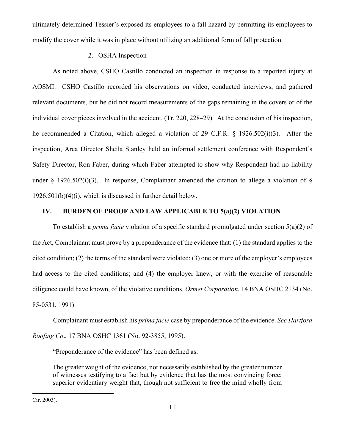ultimately determined Tessier's exposed its employees to a fall hazard by permitting its employees to modify the cover while it was in place without utilizing an additional form of fall protection.

# 2. OSHA Inspection

As noted above, CSHO Castillo conducted an inspection in response to a reported injury at AOSMI. CSHO Castillo recorded his observations on video, conducted interviews, and gathered relevant documents, but he did not record measurements of the gaps remaining in the covers or of the individual cover pieces involved in the accident. (Tr. 220, 228–29). At the conclusion of his inspection, he recommended a Citation, which alleged a violation of 29 C.F.R. § 1926.502(i)(3). After the inspection, Area Director Sheila Stanley held an informal settlement conference with Respondent's Safety Director, Ron Faber, during which Faber attempted to show why Respondent had no liability under § 1926.502(i)(3). In response, Complainant amended the citation to allege a violation of § 1926.501(b)(4)(i), which is discussed in further detail below.

# **IV. BURDEN OF PROOF AND LAW APPLICABLE TO 5(a)(2) VIOLATION**

To establish a *prima facie* violation of a specific standard promulgated under section 5(a)(2) of the Act, Complainant must prove by a preponderance of the evidence that: (1) the standard applies to the cited condition; (2) the terms of the standard were violated; (3) one or more of the employer's employees had access to the cited conditions; and (4) the employer knew, or with the exercise of reasonable diligence could have known, of the violative conditions. *Ormet Corporation*, 14 BNA OSHC 2134 (No. 85-0531, 1991).

Complainant must establish his *prima facie* case by preponderance of the evidence. *See Hartford Roofing Co*., 17 BNA OSHC 1361 (No. 92-3855, 1995).

"Preponderance of the evidence" has been defined as:

The greater weight of the evidence, not necessarily established by the greater number of witnesses testifying to a fact but by evidence that has the most convincing force; superior evidentiary weight that, though not sufficient to free the mind wholly from

Cir. 2003).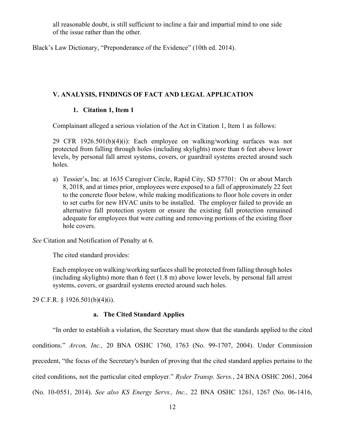all reasonable doubt, is still sufficient to incline a fair and impartial mind to one side of the issue rather than the other.

Black's Law Dictionary, "Preponderance of the Evidence" (10th ed. 2014).

#### **V. ANALYSIS, FINDINGS OF FACT AND LEGAL APPLICATION**

# **1. Citation 1, Item 1**

Complainant alleged a serious violation of the Act in Citation 1, Item 1 as follows:

29 CFR 1926.501(b)(4)(i): Each employee on walking/working surfaces was not protected from falling through holes (including skylights) more than 6 feet above lower levels, by personal fall arrest systems, covers, or guardrail systems erected around such holes.

a) Tessier's, Inc. at 1635 Caregiver Circle, Rapid City, SD 57701: On or about March 8, 2018, and at times prior, employees were exposed to a fall of approximately 22 feet to the concrete floor below, while making modifications to floor hole covers in order to set curbs for new HVAC units to be installed. The employer failed to provide an alternative fall protection system or ensure the existing fall protection remained adequate for employees that were cutting and removing portions of the existing floor hole covers.

*See* Citation and Notification of Penalty at 6.

The cited standard provides:

Each employee on walking/working surfaces shall be protected from falling through holes (including skylights) more than 6 feet (1.8 m) above lower levels, by personal fall arrest systems, covers, or guardrail systems erected around such holes.

29 C.F.R. § 1926.501(b)(4)(i).

#### **a. The Cited Standard Applies**

"In order to establish a violation, the Secretary must show that the standards applied to the cited conditions." *Arcon, Inc.,* 20 BNA OSHC 1760, 1763 (No. 99-1707, 2004). Under Commission precedent, "the focus of the Secretary's burden of proving that the cited standard applies pertains to the cited conditions, not the particular cited employer." *Ryder Transp. Servs.*, 24 BNA OSHC 2061, 2064 (No. 10-0551, 2014). *See also KS Energy Servs., Inc.,* 22 BNA OSHC 1261, 1267 (No. 06-1416,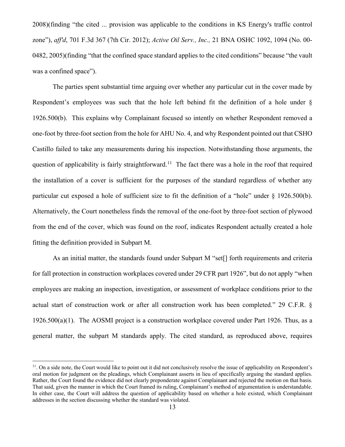2008)(finding "the cited ... provision was applicable to the conditions in KS Energy's traffic control zone"), *aff'd*, 701 F.3d 367 (7th Cir. 2012); *Active Oil Serv., Inc.,* 21 BNA OSHC 1092, 1094 (No. 00- 0482, 2005)(finding "that the confined space standard applies to the cited conditions" because "the vault was a confined space").

The parties spent substantial time arguing over whether any particular cut in the cover made by Respondent's employees was such that the hole left behind fit the definition of a hole under § 1926.500(b). This explains why Complainant focused so intently on whether Respondent removed a one-foot by three-foot section from the hole for AHU No. 4, and why Respondent pointed out that CSHO Castillo failed to take any measurements during his inspection. Notwithstanding those arguments, the question of applicability is fairly straightforward.<sup>[11](#page-12-0)</sup> The fact there was a hole in the roof that required the installation of a cover is sufficient for the purposes of the standard regardless of whether any particular cut exposed a hole of sufficient size to fit the definition of a "hole" under § 1926.500(b). Alternatively, the Court nonetheless finds the removal of the one-foot by three-foot section of plywood from the end of the cover, which was found on the roof, indicates Respondent actually created a hole fitting the definition provided in Subpart M.

As an initial matter, the standards found under Subpart M "set<sup>[]</sup> forth requirements and criteria for fall protection in construction workplaces covered under 29 CFR part 1926", but do not apply "when employees are making an inspection, investigation, or assessment of workplace conditions prior to the actual start of construction work or after all construction work has been completed." 29 C.F.R. §  $1926.500(a)(1)$ . The AOSMI project is a construction workplace covered under Part 1926. Thus, as a general matter, the subpart M standards apply. The cited standard, as reproduced above, requires

<span id="page-12-0"></span> $11$ . On a side note, the Court would like to point out it did not conclusively resolve the issue of applicability on Respondent's oral motion for judgment on the pleadings, which Complainant asserts in lieu of specifically arguing the standard applies. Rather, the Court found the evidence did not clearly preponderate against Complainant and rejected the motion on that basis. That said, given the manner in which the Court framed its ruling, Complainant's method of argumentation is understandable. In either case, the Court will address the question of applicability based on whether a hole existed, which Complainant addresses in the section discussing whether the standard was violated.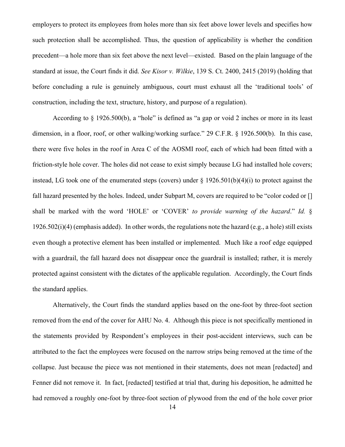employers to protect its employees from holes more than six feet above lower levels and specifies how such protection shall be accomplished. Thus, the question of applicability is whether the condition precedent—a hole more than six feet above the next level—existed. Based on the plain language of the standard at issue, the Court finds it did. *See Kisor v. Wilkie*, 139 S. Ct. 2400, 2415 (2019) (holding that before concluding a rule is genuinely ambiguous, court must exhaust all the 'traditional tools' of construction, including the text, structure, history, and purpose of a regulation).

According to § 1926.500(b), a "hole" is defined as "a gap or void 2 inches or more in its least dimension, in a floor, roof, or other walking/working surface." 29 C.F.R. § 1926.500(b). In this case, there were five holes in the roof in Area C of the AOSMI roof, each of which had been fitted with a friction-style hole cover. The holes did not cease to exist simply because LG had installed hole covers; instead, LG took one of the enumerated steps (covers) under  $\S 1926.501(b)(4)(i)$  to protect against the fall hazard presented by the holes. Indeed, under Subpart M, covers are required to be "color coded or [] shall be marked with the word 'HOLE' or 'COVER' *to provide warning of the hazard*." *Id.* § 1926.502(i)(4) (emphasis added). In other words, the regulations note the hazard (e.g., a hole) still exists even though a protective element has been installed or implemented. Much like a roof edge equipped with a guardrail, the fall hazard does not disappear once the guardrail is installed; rather, it is merely protected against consistent with the dictates of the applicable regulation. Accordingly, the Court finds the standard applies.

Alternatively, the Court finds the standard applies based on the one-foot by three-foot section removed from the end of the cover for AHU No. 4. Although this piece is not specifically mentioned in the statements provided by Respondent's employees in their post-accident interviews, such can be attributed to the fact the employees were focused on the narrow strips being removed at the time of the collapse. Just because the piece was not mentioned in their statements, does not mean [redacted] and Fenner did not remove it. In fact, [redacted] testified at trial that, during his deposition, he admitted he had removed a roughly one-foot by three-foot section of plywood from the end of the hole cover prior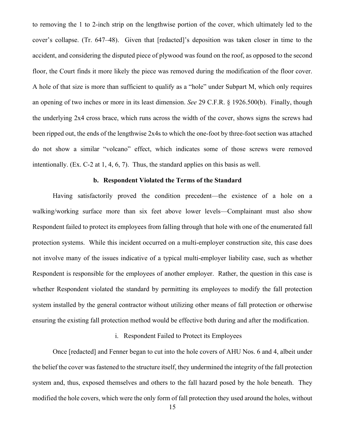to removing the 1 to 2-inch strip on the lengthwise portion of the cover, which ultimately led to the cover's collapse. (Tr. 647–48). Given that [redacted]'s deposition was taken closer in time to the accident, and considering the disputed piece of plywood was found on the roof, as opposed to the second floor, the Court finds it more likely the piece was removed during the modification of the floor cover. A hole of that size is more than sufficient to qualify as a "hole" under Subpart M, which only requires an opening of two inches or more in its least dimension. *See* 29 C.F.R. § 1926.500(b). Finally, though the underlying 2x4 cross brace, which runs across the width of the cover, shows signs the screws had been ripped out, the ends of the lengthwise 2x4s to which the one-foot by three-foot section was attached do not show a similar "volcano" effect, which indicates some of those screws were removed intentionally. (Ex. C-2 at 1, 4, 6, 7). Thus, the standard applies on this basis as well.

## **b. Respondent Violated the Terms of the Standard**

Having satisfactorily proved the condition precedent—the existence of a hole on a walking/working surface more than six feet above lower levels—Complainant must also show Respondent failed to protect its employees from falling through that hole with one of the enumerated fall protection systems. While this incident occurred on a multi-employer construction site, this case does not involve many of the issues indicative of a typical multi-employer liability case, such as whether Respondent is responsible for the employees of another employer. Rather, the question in this case is whether Respondent violated the standard by permitting its employees to modify the fall protection system installed by the general contractor without utilizing other means of fall protection or otherwise ensuring the existing fall protection method would be effective both during and after the modification.

### i. Respondent Failed to Protect its Employees

Once [redacted] and Fenner began to cut into the hole covers of AHU Nos. 6 and 4, albeit under the belief the cover was fastened to the structure itself, they undermined the integrity of the fall protection system and, thus, exposed themselves and others to the fall hazard posed by the hole beneath. They modified the hole covers, which were the only form of fall protection they used around the holes, without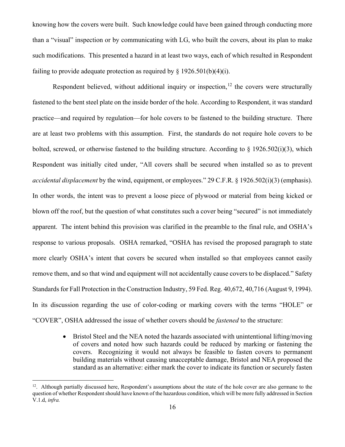knowing how the covers were built. Such knowledge could have been gained through conducting more than a "visual" inspection or by communicating with LG, who built the covers, about its plan to make such modifications. This presented a hazard in at least two ways, each of which resulted in Respondent failing to provide adequate protection as required by  $\S$  1926.501(b)(4)(i).

Respondent believed, without additional inquiry or inspection,  $12$  the covers were structurally fastened to the bent steel plate on the inside border of the hole. According to Respondent, it was standard practice—and required by regulation—for hole covers to be fastened to the building structure. There are at least two problems with this assumption. First, the standards do not require hole covers to be bolted, screwed, or otherwise fastened to the building structure. According to  $\S$  1926.502(i)(3), which Respondent was initially cited under, "All covers shall be secured when installed so as to prevent *accidental displacement* by the wind, equipment, or employees." 29 C.F.R. § 1926.502(i)(3) (emphasis). In other words, the intent was to prevent a loose piece of plywood or material from being kicked or blown off the roof, but the question of what constitutes such a cover being "secured" is not immediately apparent. The intent behind this provision was clarified in the preamble to the final rule, and OSHA's response to various proposals. OSHA remarked, "OSHA has revised the proposed paragraph to state more clearly OSHA's intent that covers be secured when installed so that employees cannot easily remove them, and so that wind and equipment will not accidentally cause covers to be displaced." Safety Standards for Fall Protection in the Construction Industry, 59 Fed. Reg. 40,672, 40,716 (August 9, 1994). In its discussion regarding the use of color-coding or marking covers with the terms "HOLE" or "COVER", OSHA addressed the issue of whether covers should be *fastened* to the structure:

> • Bristol Steel and the NEA noted the hazards associated with unintentional lifting/moving of covers and noted how such hazards could be reduced by marking or fastening the covers. Recognizing it would not always be feasible to fasten covers to permanent building materials without causing unacceptable damage, Bristol and NEA proposed the standard as an alternative: either mark the cover to indicate its function or securely fasten

<span id="page-15-0"></span> $12$ . Although partially discussed here, Respondent's assumptions about the state of the hole cover are also germane to the question of whether Respondent should have known of the hazardous condition, which will be more fully addressed in Section V.1.d, *infra.*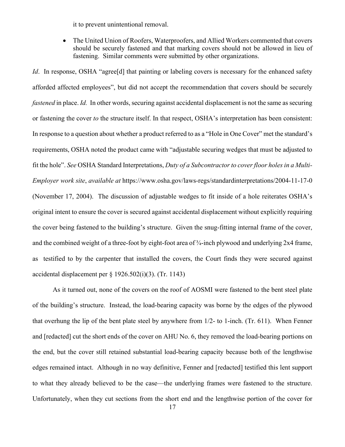it to prevent unintentional removal.

The United Union of Roofers, Waterproofers, and Allied Workers commented that covers should be securely fastened and that marking covers should not be allowed in lieu of fastening. Similar comments were submitted by other organizations.

*Id*. In response, OSHA "agree<sup>[d]</sup> that painting or labeling covers is necessary for the enhanced safety afforded affected employees", but did not accept the recommendation that covers should be securely *fastened* in place. *Id.* In other words, securing against accidental displacement is not the same as securing or fastening the cover *to* the structure itself. In that respect, OSHA's interpretation has been consistent: In response to a question about whether a product referred to as a "Hole in One Cover" met the standard's requirements, OSHA noted the product came with "adjustable securing wedges that must be adjusted to fit the hole". *See* OSHA Standard Interpretations, *Duty of a Subcontractor to cover floor holes in a Multi-Employer work site*, *available at* https://www.osha.gov/laws-regs/standardinterpretations/2004-11-17-0 (November 17, 2004). The discussion of adjustable wedges to fit inside of a hole reiterates OSHA's original intent to ensure the cover is secured against accidental displacement without explicitly requiring the cover being fastened to the building's structure. Given the snug-fitting internal frame of the cover, and the combined weight of a three-foot by eight-foot area of  $\frac{3}{4}$ -inch plywood and underlying 2x4 frame, as testified to by the carpenter that installed the covers, the Court finds they were secured against accidental displacement per  $\S$  1926.502(i)(3). (Tr. 1143)

As it turned out, none of the covers on the roof of AOSMI were fastened to the bent steel plate of the building's structure. Instead, the load-bearing capacity was borne by the edges of the plywood that overhung the lip of the bent plate steel by anywhere from 1/2- to 1-inch. (Tr. 611). When Fenner and [redacted] cut the short ends of the cover on AHU No. 6, they removed the load-bearing portions on the end, but the cover still retained substantial load-bearing capacity because both of the lengthwise edges remained intact. Although in no way definitive, Fenner and [redacted] testified this lent support to what they already believed to be the case—the underlying frames were fastened to the structure. Unfortunately, when they cut sections from the short end and the lengthwise portion of the cover for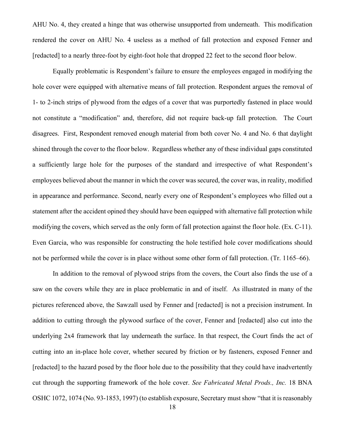AHU No. 4, they created a hinge that was otherwise unsupported from underneath. This modification rendered the cover on AHU No. 4 useless as a method of fall protection and exposed Fenner and [redacted] to a nearly three-foot by eight-foot hole that dropped 22 feet to the second floor below.

Equally problematic is Respondent's failure to ensure the employees engaged in modifying the hole cover were equipped with alternative means of fall protection. Respondent argues the removal of 1- to 2-inch strips of plywood from the edges of a cover that was purportedly fastened in place would not constitute a "modification" and, therefore, did not require back-up fall protection. The Court disagrees. First, Respondent removed enough material from both cover No. 4 and No. 6 that daylight shined through the cover to the floor below. Regardless whether any of these individual gaps constituted a sufficiently large hole for the purposes of the standard and irrespective of what Respondent's employees believed about the manner in which the cover was secured, the cover was, in reality, modified in appearance and performance. Second, nearly every one of Respondent's employees who filled out a statement after the accident opined they should have been equipped with alternative fall protection while modifying the covers, which served as the only form of fall protection against the floor hole. (Ex. C-11). Even Garcia, who was responsible for constructing the hole testified hole cover modifications should not be performed while the cover is in place without some other form of fall protection. (Tr. 1165–66).

In addition to the removal of plywood strips from the covers, the Court also finds the use of a saw on the covers while they are in place problematic in and of itself. As illustrated in many of the pictures referenced above, the Sawzall used by Fenner and [redacted] is not a precision instrument. In addition to cutting through the plywood surface of the cover, Fenner and [redacted] also cut into the underlying 2x4 framework that lay underneath the surface. In that respect, the Court finds the act of cutting into an in-place hole cover, whether secured by friction or by fasteners, exposed Fenner and [redacted] to the hazard posed by the floor hole due to the possibility that they could have inadvertently cut through the supporting framework of the hole cover. *See Fabricated Metal Prods., Inc.* 18 BNA OSHC 1072, 1074 (No. 93-1853, 1997) (to establish exposure, Secretary must show "that it is reasonably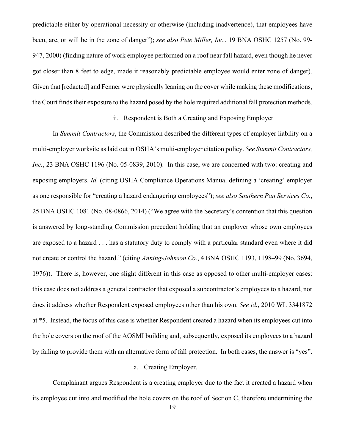predictable either by operational necessity or otherwise (including inadvertence), that employees have been, are, or will be in the zone of danger"); *see also Pete Miller, Inc.*, 19 BNA OSHC 1257 (No. 99- 947, 2000) (finding nature of work employee performed on a roof near fall hazard, even though he never got closer than 8 feet to edge, made it reasonably predictable employee would enter zone of danger). Given that [redacted] and Fenner were physically leaning on the cover while making these modifications, the Court finds their exposure to the hazard posed by the hole required additional fall protection methods.

# ii. Respondent is Both a Creating and Exposing Employer

In *Summit Contractors*, the Commission described the different types of employer liability on a multi-employer worksite as laid out in OSHA's multi-employer citation policy. *See Summit Contractors, Inc.*, 23 BNA OSHC 1196 (No. 05-0839, 2010). In this case, we are concerned with two: creating and exposing employers. *Id.* (citing OSHA Compliance Operations Manual defining a 'creating' employer as one responsible for "creating a hazard endangering employees"); *see also Southern Pan Services Co.*, 25 BNA OSHC 1081 (No. 08-0866, 2014) ("We agree with the Secretary's contention that this question is answered by long-standing Commission precedent holding that an employer whose own employees are exposed to a hazard . . . has a statutory duty to comply with a particular standard even where it did not create or control the hazard." (citing *Anning-Johnson Co.*, 4 BNA OSHC 1193, 1198–99 (No. 3694, 1976)). There is, however, one slight different in this case as opposed to other multi-employer cases: this case does not address a general contractor that exposed a subcontractor's employees to a hazard, nor does it address whether Respondent exposed employees other than his own. *See id.*, 2010 WL 3341872 at \*5. Instead, the focus of this case is whether Respondent created a hazard when its employees cut into the hole covers on the roof of the AOSMI building and, subsequently, exposed its employees to a hazard by failing to provide them with an alternative form of fall protection. In both cases, the answer is "yes".

### a. Creating Employer.

Complainant argues Respondent is a creating employer due to the fact it created a hazard when its employee cut into and modified the hole covers on the roof of Section C, therefore undermining the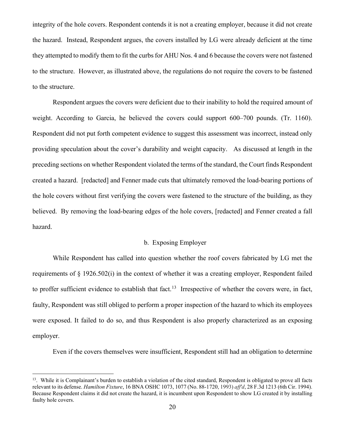integrity of the hole covers. Respondent contends it is not a creating employer, because it did not create the hazard. Instead, Respondent argues, the covers installed by LG were already deficient at the time they attempted to modify them to fit the curbs for AHU Nos. 4 and 6 because the covers were not fastened to the structure. However, as illustrated above, the regulations do not require the covers to be fastened to the structure.

Respondent argues the covers were deficient due to their inability to hold the required amount of weight. According to Garcia, he believed the covers could support 600–700 pounds. (Tr. 1160). Respondent did not put forth competent evidence to suggest this assessment was incorrect, instead only providing speculation about the cover's durability and weight capacity. As discussed at length in the preceding sections on whether Respondent violated the terms of the standard, the Court finds Respondent created a hazard. [redacted] and Fenner made cuts that ultimately removed the load-bearing portions of the hole covers without first verifying the covers were fastened to the structure of the building, as they believed. By removing the load-bearing edges of the hole covers, [redacted] and Fenner created a fall hazard.

# b. Exposing Employer

While Respondent has called into question whether the roof covers fabricated by LG met the requirements of § 1926.502(i) in the context of whether it was a creating employer, Respondent failed to proffer sufficient evidence to establish that fact.<sup>[13](#page-19-0)</sup> Irrespective of whether the covers were, in fact, faulty, Respondent was still obliged to perform a proper inspection of the hazard to which its employees were exposed. It failed to do so, and thus Respondent is also properly characterized as an exposing employer.

Even if the covers themselves were insufficient, Respondent still had an obligation to determine

<span id="page-19-0"></span><sup>&</sup>lt;sup>13</sup>. While it is Complainant's burden to establish a violation of the cited standard, Respondent is obligated to prove all facts relevant to its defense. *Hamilton Fixture*, 16 BNA OSHC 1073, 1077 (No. 88-1720, 1993) *aff'd*, 28 F.3d 1213 (6th Cir. 1994). Because Respondent claims it did not create the hazard, it is incumbent upon Respondent to show LG created it by installing faulty hole covers.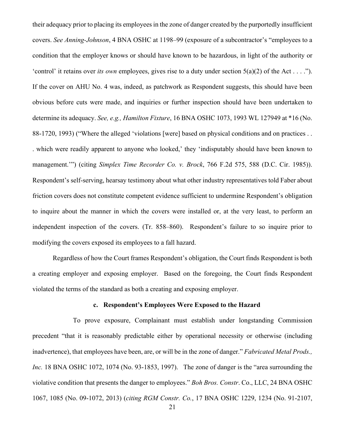their adequacy prior to placing its employees in the zone of danger created by the purportedly insufficient covers. *See Anning-Johnson*, 4 BNA OSHC at 1198–99 (exposure of a subcontractor's "employees to a condition that the employer knows or should have known to be hazardous, in light of the authority or 'control' it retains over *its own* employees, gives rise to a duty under section 5(a)(2) of the Act . . . ."). If the cover on AHU No. 4 was, indeed, as patchwork as Respondent suggests, this should have been obvious before cuts were made, and inquiries or further inspection should have been undertaken to determine its adequacy. *See, e.g., Hamilton Fixture*, 16 BNA OSHC 1073, 1993 WL 127949 at \*16 (No. 88-1720, 1993) ("Where the alleged 'violations [were] based on physical conditions and on practices . . . which were readily apparent to anyone who looked,' they 'indisputably should have been known to management.'") (citing *Simplex Time Recorder Co. v. Brock*, 766 F.2d 575, 588 (D.C. Cir. 1985)). Respondent's self-serving, hearsay testimony about what other industry representatives told Faber about friction covers does not constitute competent evidence sufficient to undermine Respondent's obligation to inquire about the manner in which the covers were installed or, at the very least, to perform an independent inspection of the covers. (Tr. 858–860). Respondent's failure to so inquire prior to modifying the covers exposed its employees to a fall hazard.

Regardless of how the Court frames Respondent's obligation, the Court finds Respondent is both a creating employer and exposing employer. Based on the foregoing, the Court finds Respondent violated the terms of the standard as both a creating and exposing employer.

### **c. Respondent's Employees Were Exposed to the Hazard**

To prove exposure, Complainant must establish under longstanding Commission precedent "that it is reasonably predictable either by operational necessity or otherwise (including inadvertence), that employees have been, are, or will be in the zone of danger." *Fabricated Metal Prods., Inc.* 18 BNA OSHC 1072, 1074 (No. 93-1853, 1997). The zone of danger is the "area surrounding the violative condition that presents the danger to employees." *Boh Bros. Constr*. Co., LLC, 24 BNA OSHC 1067, 1085 (No. 09-1072, 2013) (*citing RGM Constr. Co.*, 17 BNA OSHC 1229, 1234 (No. 91-2107,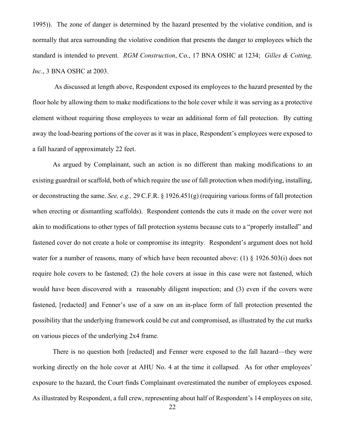1995)). The zone of danger is determined by the hazard presented by the violative condition, and is normally that area surrounding the violative condition that presents the danger to employees which the standard is intended to prevent. *RGM Construction*, Co., 17 BNA OSHC at 1234; *Gilles & Cotting, Inc*., 3 BNA OSHC at 2003.

 As discussed at length above, Respondent exposed its employees to the hazard presented by the floor hole by allowing them to make modifications to the hole cover while it was serving as a protective element without requiring those employees to wear an additional form of fall protection. By cutting away the load-bearing portions of the cover as it was in place, Respondent's employees were exposed to a fall hazard of approximately 22 feet.

As argued by Complainant, such an action is no different than making modifications to an existing guardrail or scaffold, both of which require the use of fall protection when modifying, installing, or deconstructing the same. *See, e.g.,* 29 C.F.R. § 1926.451(g) (requiring various forms of fall protection when erecting or dismantling scaffolds). Respondent contends the cuts it made on the cover were not akin to modifications to other types of fall protection systems because cuts to a "properly installed" and fastened cover do not create a hole or compromise its integrity. Respondent's argument does not hold water for a number of reasons, many of which have been recounted above: (1) § 1926.503(i) does not require hole covers to be fastened; (2) the hole covers at issue in this case were not fastened, which would have been discovered with a reasonably diligent inspection; and (3) even if the covers were fastened, [redacted] and Fenner's use of a saw on an in-place form of fall protection presented the possibility that the underlying framework could be cut and compromised, as illustrated by the cut marks on various pieces of the underlying 2x4 frame.

There is no question both [redacted] and Fenner were exposed to the fall hazard—they were working directly on the hole cover at AHU No. 4 at the time it collapsed. As for other employees' exposure to the hazard, the Court finds Complainant overestimated the number of employees exposed. As illustrated by Respondent, a full crew, representing about half of Respondent's 14 employees on site,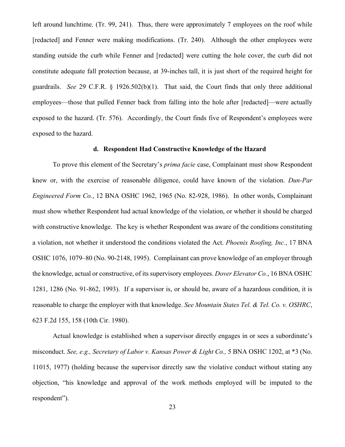left around lunchtime. (Tr. 99, 241). Thus, there were approximately 7 employees on the roof while [redacted] and Fenner were making modifications. (Tr. 240). Although the other employees were standing outside the curb while Fenner and [redacted] were cutting the hole cover, the curb did not constitute adequate fall protection because, at 39-inches tall, it is just short of the required height for guardrails. *See* 29 C.F.R. § 1926.502(b)(1). That said, the Court finds that only three additional employees—those that pulled Fenner back from falling into the hole after [redacted]—were actually exposed to the hazard. (Tr. 576). Accordingly, the Court finds five of Respondent's employees were exposed to the hazard.

### **d. Respondent Had Constructive Knowledge of the Hazard**

To prove this element of the Secretary's *prima facie* case, Complainant must show Respondent knew or, with the exercise of reasonable diligence, could have known of the violation. *Dun-Par Engineered Form Co.*, 12 BNA OSHC 1962, 1965 (No. 82-928, 1986). In other words, Complainant must show whether Respondent had actual knowledge of the violation, or whether it should be charged with constructive knowledge. The key is whether Respondent was aware of the conditions constituting a violation, not whether it understood the conditions violated the Act. *Phoenix Roofing, Inc.*, 17 BNA OSHC 1076, 1079–80 (No. 90-2148, 1995). Complainant can prove knowledge of an employer through the knowledge, actual or constructive, of its supervisory employees. *Dover Elevator Co.*, 16 BNA OSHC 1281, 1286 (No. 91-862, 1993). If a supervisor is, or should be, aware of a hazardous condition, it is reasonable to charge the employer with that knowledge. *See Mountain States Tel. & Tel. Co. v. OSHRC*, 623 F.2d 155, 158 (10th Cir. 1980).

Actual knowledge is established when a supervisor directly engages in or sees a subordinate's misconduct. *See, e.g., Secretary of Labor v. Kansas Power & Light Co.,* 5 BNA OSHC 1202, at \*3 (No. 11015, 1977) (holding because the supervisor directly saw the violative conduct without stating any objection, "his knowledge and approval of the work methods employed will be imputed to the respondent").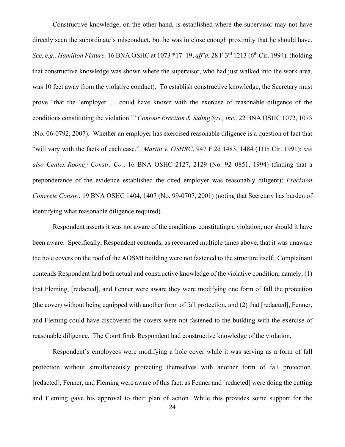Constructive knowledge, on the other hand, is established where the supervisor may not have directly seen the subordinate's misconduct, but he was in close enough proximity that he should have. *See, e.g., Hamilton Fixture,* 16 BNA OSHC at 1073 \*17–19, *aff'd,* 28 F.3rd 1213 (6th Cir. 1994). (holding that constructive knowledge was shown where the supervisor, who had just walked into the work area, was 10 feet away from the violative conduct). To establish constructive knowledge, the Secretary must prove "that the 'employer … could have known with the exercise of reasonable diligence of the conditions constituting the violation.'" *Contour Erection & Siding Sys., Inc.,* 22 BNA OSHC 1072, 1073 (No. 06-0792, 2007). Whether an employer has exercised reasonable diligence is a question of fact that "will vary with the facts of each case." *Martin v. OSHRC*, 947 F.2d 1483, 1484 (11th Cir. 1991); *see also Centex-Rooney Constr. Co.*, 16 BNA OSHC 2127, 2129 (No. 92–0851, 1994) (finding that a preponderance of the evidence established the cited employer was reasonably diligent); *Precision Concrete Constr.*, 19 BNA OSHC 1404, 1407 (No. 99-0707, 2001) (noting that Secretary has burden of identifying what reasonable diligence required).

Respondent asserts it was not aware of the conditions constituting a violation, nor should it have been aware. Specifically, Respondent contends, as recounted multiple times above, that it was unaware the hole covers on the roof of the AOSMI building were not fastened to the structure itself. Complainant contends Respondent had both actual and constructive knowledge of the violative condition; namely, (1) that Fleming, [redacted], and Fenner were aware they were modifying one form of fall the protection (the cover) without being equipped with another form of fall protection, and (2) that [redacted], Fenner, and Fleming could have discovered the covers were not fastened to the building with the exercise of reasonable diligence. The Court finds Respondent had constructive knowledge of the violation.

Respondent's employees were modifying a hole cover while it was serving as a form of fall protection without simultaneously protecting themselves with another form of fall protection. [redacted], Fenner, and Fleming were aware of this fact, as Fenner and [redacted] were doing the cutting and Fleming gave his approval to their plan of action. While this provides some support for the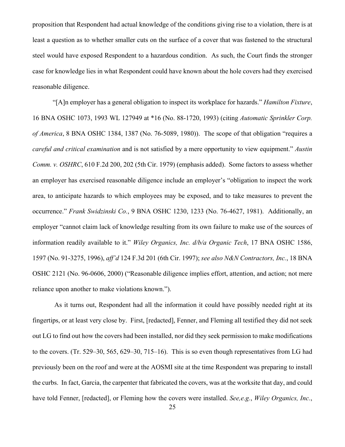proposition that Respondent had actual knowledge of the conditions giving rise to a violation, there is at least a question as to whether smaller cuts on the surface of a cover that was fastened to the structural steel would have exposed Respondent to a hazardous condition. As such, the Court finds the stronger case for knowledge lies in what Respondent could have known about the hole covers had they exercised reasonable diligence.

"[A]n employer has a general obligation to inspect its workplace for hazards." *Hamilton Fixture*, 16 BNA OSHC 1073, 1993 WL 127949 at \*16 (No. 88-1720, 1993) (citing *Automatic Sprinkler Corp. of America*, 8 BNA OSHC 1384, 1387 (No. 76-5089, 1980)). The scope of that obligation "requires a *careful and critical examination* and is not satisfied by a mere opportunity to view equipment." *Austin Comm. v. OSHRC*, 610 F.2d 200, 202 (5th Cir. 1979) (emphasis added). Some factors to assess whether an employer has exercised reasonable diligence include an employer's "obligation to inspect the work area, to anticipate hazards to which employees may be exposed, and to take measures to prevent the occurrence." *Frank Swidzinski Co.*, 9 BNA OSHC 1230, 1233 (No. 76-4627, 1981). Additionally, an employer "cannot claim lack of knowledge resulting from its own failure to make use of the sources of information readily available to it." *Wiley Organics, Inc. d/b/a Organic Tech*, 17 BNA OSHC 1586, 1597 (No. 91-3275, 1996), *aff'd* 124 F.3d 201 (6th Cir. 1997); *see also N&N Contractors, Inc.*, 18 BNA OSHC 2121 (No. 96-0606, 2000) ("Reasonable diligence implies effort, attention, and action; not mere reliance upon another to make violations known.").

As it turns out, Respondent had all the information it could have possibly needed right at its fingertips, or at least very close by. First, [redacted], Fenner, and Fleming all testified they did not seek out LG to find out how the covers had been installed, nor did they seek permission to make modifications to the covers. (Tr. 529–30, 565, 629–30, 715–16). This is so even though representatives from LG had previously been on the roof and were at the AOSMI site at the time Respondent was preparing to install the curbs. In fact, Garcia, the carpenter that fabricated the covers, was at the worksite that day, and could have told Fenner, [redacted], or Fleming how the covers were installed. *See,e.g.*, *Wiley Organics, Inc.*,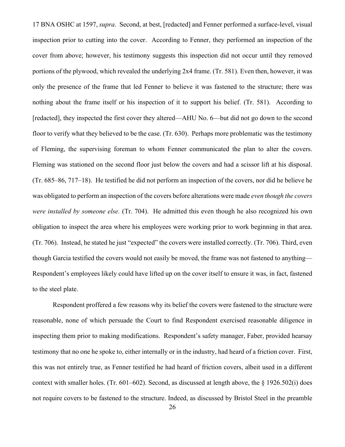17 BNA OSHC at 1597, *supra*. Second, at best, [redacted] and Fenner performed a surface-level, visual inspection prior to cutting into the cover. According to Fenner, they performed an inspection of the cover from above; however, his testimony suggests this inspection did not occur until they removed portions of the plywood, which revealed the underlying 2x4 frame. (Tr. 581). Even then, however, it was only the presence of the frame that led Fenner to believe it was fastened to the structure; there was nothing about the frame itself or his inspection of it to support his belief. (Tr. 581). According to [redacted], they inspected the first cover they altered—AHU No. 6—but did not go down to the second floor to verify what they believed to be the case. (Tr. 630). Perhaps more problematic was the testimony of Fleming, the supervising foreman to whom Fenner communicated the plan to alter the covers. Fleming was stationed on the second floor just below the covers and had a scissor lift at his disposal. (Tr. 685–86, 717–18). He testified he did not perform an inspection of the covers, nor did he believe he was obligated to perform an inspection of the covers before alterations were made *even though the covers were installed by someone else.* (Tr. 704). He admitted this even though he also recognized his own obligation to inspect the area where his employees were working prior to work beginning in that area. (Tr. 706). Instead, he stated he just "expected" the covers were installed correctly. (Tr. 706). Third, even though Garcia testified the covers would not easily be moved, the frame was not fastened to anything— Respondent's employees likely could have lifted up on the cover itself to ensure it was, in fact, fastened to the steel plate.

Respondent proffered a few reasons why its belief the covers were fastened to the structure were reasonable, none of which persuade the Court to find Respondent exercised reasonable diligence in inspecting them prior to making modifications. Respondent's safety manager, Faber, provided hearsay testimony that no one he spoke to, either internally or in the industry, had heard of a friction cover. First, this was not entirely true, as Fenner testified he had heard of friction covers, albeit used in a different context with smaller holes. (Tr. 601–602). Second, as discussed at length above, the § 1926.502(i) does not require covers to be fastened to the structure. Indeed, as discussed by Bristol Steel in the preamble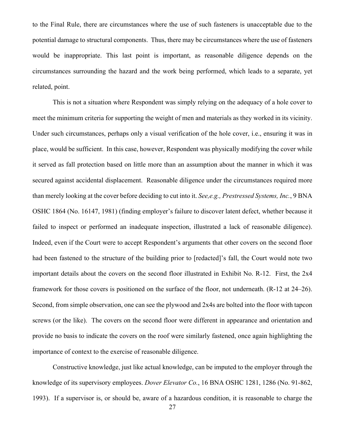to the Final Rule, there are circumstances where the use of such fasteners is unacceptable due to the potential damage to structural components. Thus, there may be circumstances where the use of fasteners would be inappropriate. This last point is important, as reasonable diligence depends on the circumstances surrounding the hazard and the work being performed, which leads to a separate, yet related, point.

This is not a situation where Respondent was simply relying on the adequacy of a hole cover to meet the minimum criteria for supporting the weight of men and materials as they worked in its vicinity. Under such circumstances, perhaps only a visual verification of the hole cover, i.e., ensuring it was in place, would be sufficient. In this case, however, Respondent was physically modifying the cover while it served as fall protection based on little more than an assumption about the manner in which it was secured against accidental displacement. Reasonable diligence under the circumstances required more than merely looking at the cover before deciding to cut into it. *See,e.g., Prestressed Systems, Inc.*, 9 BNA OSHC 1864 (No. 16147, 1981) (finding employer's failure to discover latent defect, whether because it failed to inspect or performed an inadequate inspection, illustrated a lack of reasonable diligence). Indeed, even if the Court were to accept Respondent's arguments that other covers on the second floor had been fastened to the structure of the building prior to [redacted]'s fall, the Court would note two important details about the covers on the second floor illustrated in Exhibit No. R-12. First, the 2x4 framework for those covers is positioned on the surface of the floor, not underneath. (R-12 at 24–26). Second, from simple observation, one can see the plywood and 2x4s are bolted into the floor with tapcon screws (or the like). The covers on the second floor were different in appearance and orientation and provide no basis to indicate the covers on the roof were similarly fastened, once again highlighting the importance of context to the exercise of reasonable diligence.

Constructive knowledge, just like actual knowledge, can be imputed to the employer through the knowledge of its supervisory employees. *Dover Elevator Co.*, 16 BNA OSHC 1281, 1286 (No. 91-862, 1993). If a supervisor is, or should be, aware of a hazardous condition, it is reasonable to charge the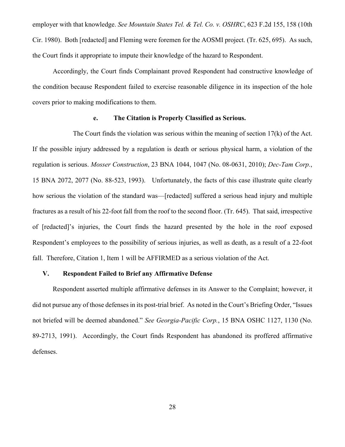employer with that knowledge. *See Mountain States Tel. & Tel. Co. v. OSHRC*, 623 F.2d 155, 158 (10th Cir. 1980). Both [redacted] and Fleming were foremen for the AOSMI project. (Tr. 625, 695). As such, the Court finds it appropriate to impute their knowledge of the hazard to Respondent.

Accordingly, the Court finds Complainant proved Respondent had constructive knowledge of the condition because Respondent failed to exercise reasonable diligence in its inspection of the hole covers prior to making modifications to them.

### **e. The Citation is Properly Classified as Serious.**

The Court finds the violation was serious within the meaning of section 17(k) of the Act. If the possible injury addressed by a regulation is death or serious physical harm, a violation of the regulation is serious. *Mosser Construction*, 23 BNA 1044, 1047 (No. 08-0631, 2010); *Dec-Tam Corp.*, 15 BNA 2072, 2077 (No. 88-523, 1993). Unfortunately, the facts of this case illustrate quite clearly how serious the violation of the standard was—[redacted] suffered a serious head injury and multiple fractures as a result of his 22-foot fall from the roof to the second floor. (Tr. 645). That said, irrespective of [redacted]'s injuries, the Court finds the hazard presented by the hole in the roof exposed Respondent's employees to the possibility of serious injuries, as well as death, as a result of a 22-foot fall. Therefore, Citation 1, Item 1 will be AFFIRMED as a serious violation of the Act.

## **V. Respondent Failed to Brief any Affirmative Defense**

Respondent asserted multiple affirmative defenses in its Answer to the Complaint; however, it did not pursue any of those defenses in its post-trial brief. As noted in the Court's Briefing Order, "Issues not briefed will be deemed abandoned." *See Georgia-Pacific Corp.*, 15 BNA OSHC 1127, 1130 (No. 89-2713, 1991). Accordingly, the Court finds Respondent has abandoned its proffered affirmative defenses.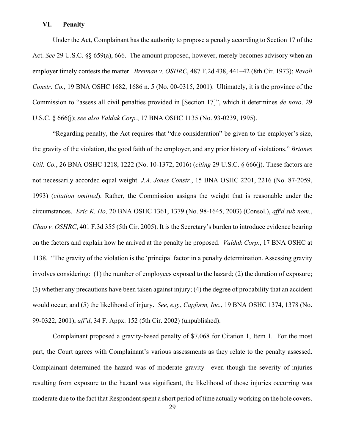#### **VI. Penalty**

Under the Act, Complainant has the authority to propose a penalty according to Section 17 of the Act. *See* 29 U.S.C. §§ 659(a), 666. The amount proposed, however, merely becomes advisory when an employer timely contests the matter. *Brennan v. OSHRC*, 487 F.2d 438, 441–42 (8th Cir. 1973); *Revoli Constr. Co.*, 19 BNA OSHC 1682, 1686 n. 5 (No. 00-0315, 2001). Ultimately, it is the province of the Commission to "assess all civil penalties provided in [Section 17]", which it determines *de novo*. 29 U.S.C. § 666(j); *see also Valdak Corp.*, 17 BNA OSHC 1135 (No. 93-0239, 1995).

"Regarding penalty, the Act requires that "due consideration" be given to the employer's size, the gravity of the violation, the good faith of the employer, and any prior history of violations." *Briones Util. Co.*, 26 BNA OSHC 1218, 1222 (No. 10-1372, 2016) (*citing* 29 U.S.C. § 666(j). These factors are not necessarily accorded equal weight. *J.A. Jones Constr.*, 15 BNA OSHC 2201, 2216 (No. 87-2059, 1993) (*citation omitted*). Rather, the Commission assigns the weight that is reasonable under the circumstances. *Eric K. Ho,* 20 BNA OSHC 1361, 1379 (No. 98-1645, 2003) (Consol.), *aff'd sub nom.*, *Chao v. OSHRC*, 401 F.3d 355 (5th Cir. 2005). It is the Secretary's burden to introduce evidence bearing on the factors and explain how he arrived at the penalty he proposed. *Valdak Corp*., 17 BNA OSHC at 1138. "The gravity of the violation is the 'principal factor in a penalty determination. Assessing gravity involves considering: (1) the number of employees exposed to the hazard; (2) the duration of exposure; (3) whether any precautions have been taken against injury; (4) the degree of probability that an accident would occur; and (5) the likelihood of injury. *See, e.g.*, *Capform, Inc.*, 19 BNA OSHC 1374, 1378 (No. 99-0322, 2001), *aff'd*, 34 F. Appx. 152 (5th Cir. 2002) (unpublished).

Complainant proposed a gravity-based penalty of \$7,068 for Citation 1, Item 1. For the most part, the Court agrees with Complainant's various assessments as they relate to the penalty assessed. Complainant determined the hazard was of moderate gravity—even though the severity of injuries resulting from exposure to the hazard was significant, the likelihood of those injuries occurring was moderate due to the fact that Respondent spent a short period of time actually working on the hole covers.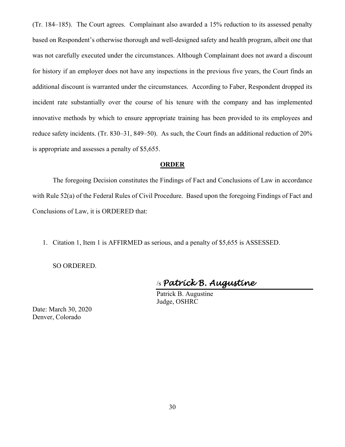(Tr. 184–185). The Court agrees. Complainant also awarded a 15% reduction to its assessed penalty based on Respondent's otherwise thorough and well-designed safety and health program, albeit one that was not carefully executed under the circumstances. Although Complainant does not award a discount for history if an employer does not have any inspections in the previous five years, the Court finds an additional discount is warranted under the circumstances. According to Faber, Respondent dropped its incident rate substantially over the course of his tenure with the company and has implemented innovative methods by which to ensure appropriate training has been provided to its employees and reduce safety incidents. (Tr. 830–31, 849–50). As such, the Court finds an additional reduction of 20% is appropriate and assesses a penalty of \$5,655.

#### **ORDER**

The foregoing Decision constitutes the Findings of Fact and Conclusions of Law in accordance with Rule 52(a) of the Federal Rules of Civil Procedure. Based upon the foregoing Findings of Fact and Conclusions of Law, it is ORDERED that:

1. Citation 1, Item 1 is AFFIRMED as serious, and a penalty of \$5,655 is ASSESSED.

SO ORDERED.

/s *Patrick B. Augustine*

Patrick B. Augustine Judge, OSHRC

Date: March 30, 2020 Denver, Colorado